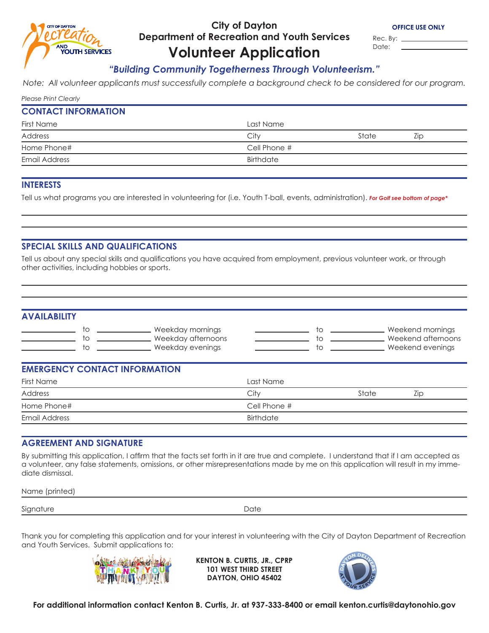

## **City of Dayton Department of Recreation and Youth Services**

Rec. By: \_ Date:

# **Volunteer Application**

## *"Building Community Togetherness Through Volunteerism."*

*Note: All volunteer applicants must successfully complete a background check to be considered for our program.*

|  | <b>Please Print Clearly</b> |
|--|-----------------------------|
|  |                             |

#### **CONTACT INFORMATION**

| First Name    | Last Name    |       |     |
|---------------|--------------|-------|-----|
| Address       | City         | State | LIC |
| Home Phone#   | Cell Phone # |       |     |
| Email Address | Birthdate    |       |     |

#### **INTERESTS**

Tell us what programs you are interested in volunteering for (i.e. Youth T-ball, events, administration). *For Golf see bottom of page\** 

#### **SPECIAL SKILLS AND QUALIFICATIONS**

Tell us about any special skills and qualifications you have acquired from employment, previous volunteer work, or through other activities, including hobbies or sports.

#### **AVAILABILITY**

| Weekday mornings   | Weekend mornings   |
|--------------------|--------------------|
| Weekday afternoons | Weekend afternoons |
| Weekday evenings   | Weekend evenings   |

#### **EMERGENCY CONTACT INFORMATION**

| Last Name    |       |     |
|--------------|-------|-----|
| City         | State | LIC |
| Cell Phone # |       |     |
| Birthdate    |       |     |
|              |       |     |

#### **AGREEMENT AND SIGNATURE**

By submitting this application, I affirm that the facts set forth in it are true and complete. I understand that if I am accepted as a volunteer, any false statements, omissions, or other misrepresentations made by me on this application will result in my immediate dismissal.

Name (printed)

Signature Date

Thank you for completing this application and for your interest in volunteering with the City of Dayton Department of Recreation and Youth Services. Submit applications to:



**KENTON B. CURTIS, JR., CPRP 101 WEST THIRD STREET DAYTON, OHIO 45402**



**For additional information contact Kenton B. Curtis, Jr. at 937-333-8400 or email kenton.curtis@daytonohio.gov**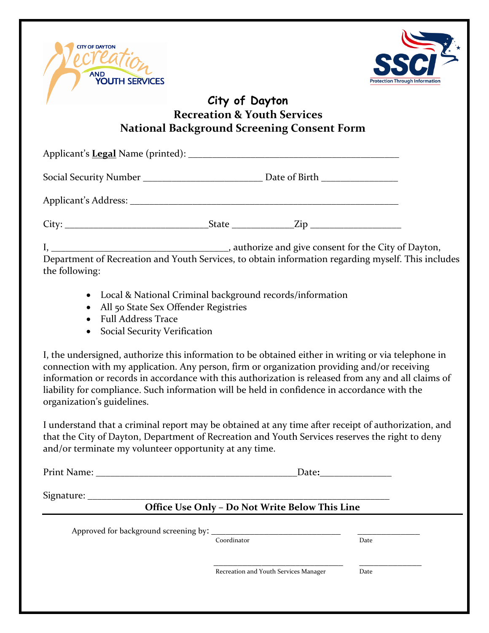



## **City of Dayton Recreation & Youth Services National Background Screening Consent Form**

| Department of Recreation and Youth Services, to obtain information regarding myself. This includes |  |  |
|----------------------------------------------------------------------------------------------------|--|--|

the following:

- Local & National Criminal background records/information
- All 50 State Sex Offender Registries
- Full Address Trace
- **•** Social Security Verification

I, the undersigned, authorize this information to be obtained either in writing or via telephone in connection with my application. Any person, firm or organization providing and/or receiving information or records in accordance with this authorization is released from any and all claims of liability for compliance. Such information will be held in confidence in accordance with the organization's guidelines.

I understand that a criminal report may be obtained at any time after receipt of authorization, and that the City of Dayton, Department of Recreation and Youth Services reserves the right to deny and/or terminate my volunteer opportunity at any time.

Print Name: **\_\_\_\_\_\_\_\_\_\_\_\_\_\_\_\_\_\_\_\_\_\_\_\_\_\_\_\_\_\_\_\_\_\_\_\_\_\_\_\_\_\_**Date**:\_\_\_\_\_\_\_\_\_\_\_\_\_\_\_**

Signature:

## **Office Use Only – Do Not Write Below This Line**

Approved for background screening by:  $\frac{1}{\text{Coordinate}}$ 

Coordinator

 $\frac{1}{2}$  ,  $\frac{1}{2}$  ,  $\frac{1}{2}$  ,  $\frac{1}{2}$  ,  $\frac{1}{2}$  ,  $\frac{1}{2}$  ,  $\frac{1}{2}$  ,  $\frac{1}{2}$  ,  $\frac{1}{2}$  ,  $\frac{1}{2}$  ,  $\frac{1}{2}$  ,  $\frac{1}{2}$  ,  $\frac{1}{2}$  ,  $\frac{1}{2}$  ,  $\frac{1}{2}$  ,  $\frac{1}{2}$  ,  $\frac{1}{2}$  ,  $\frac{1}{2}$  ,  $\frac{1$ 

Recreation and Youth Services Manager Date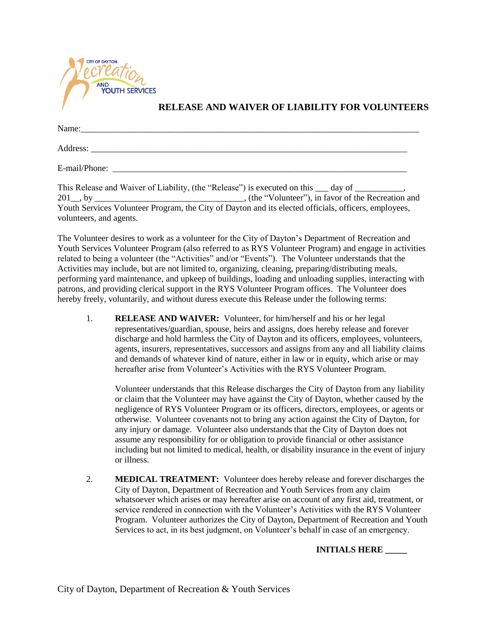

#### **RELEASE AND WAIVER OF LIABILITY FOR VOLUNTEERS**

| Name:         |  |  |
|---------------|--|--|
| Address:      |  |  |
| E-mail/Phone: |  |  |

This Release and Waiver of Liability, (the "Release") is executed on this  $\rule{1em}{0.15mm}$  day of  $\rule{1em}{0.15mm}$ 201\_\_, by \_\_\_\_\_\_\_\_\_\_\_\_\_\_\_\_\_\_\_\_\_\_\_\_\_\_\_\_\_\_\_\_\_\_, (the "Volunteer"), in favor of the Recreation and Youth Services Volunteer Program, the City of Dayton and its elected officials, officers, employees, volunteers, and agents.

The Volunteer desires to work as a volunteer for the City of Dayton's Department of Recreation and Youth Services Volunteer Program (also referred to as RYS Volunteer Program) and engage in activities related to being a volunteer (the "Activities" and/or "Events"). The Volunteer understands that the Activities may include, but are not limited to, organizing, cleaning, preparing/distributing meals, performing yard maintenance, and upkeep of buildings, loading and unloading supplies, interacting with patrons, and providing clerical support in the RYS Volunteer Program offices. The Volunteer does hereby freely, voluntarily, and without duress execute this Release under the following terms:

1. **RELEASE AND WAIVER:** Volunteer, for him/herself and his or her legal representatives/guardian, spouse, heirs and assigns, does hereby release and forever discharge and hold harmless the City of Dayton and its officers, employees, volunteers, agents, insurers, representatives, successors and assigns from any and all liability claims and demands of whatever kind of nature, either in law or in equity, which arise or may hereafter arise from Volunteer's Activities with the RYS Volunteer Program.

Volunteer understands that this Release discharges the City of Dayton from any liability or claim that the Volunteer may have against the City of Dayton, whether caused by the negligence of RYS Volunteer Program or its officers, directors, employees, or agents or otherwise. Volunteer covenants not to bring any action against the City of Dayton, for any injury or damage. Volunteer also understands that the City of Dayton does not assume any responsibility for or obligation to provide financial or other assistance including but not limited to medical, health, or disability insurance in the event of injury or illness.

2. **MEDICAL TREATMENT:** Volunteer does hereby release and forever discharges the City of Dayton, Department of Recreation and Youth Services from any claim whatsoever which arises or may hereafter arise on account of any first aid, treatment, or service rendered in connection with the Volunteer's Activities with the RYS Volunteer Program. Volunteer authorizes the City of Dayton, Department of Recreation and Youth Services to act, in its best judgment, on Volunteer's behalf in case of an emergency.

**INITIALS HERE \_\_\_\_\_**